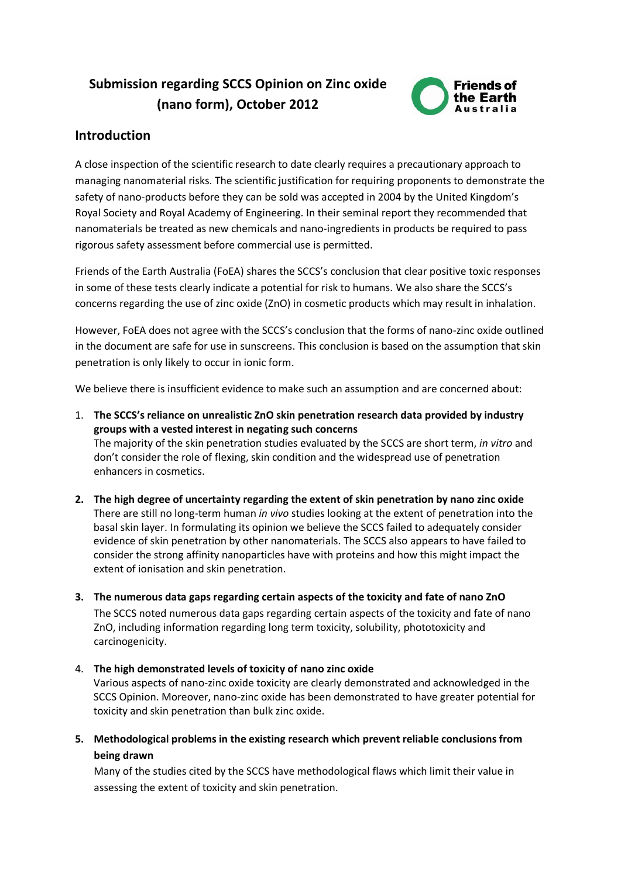# **Submission regarding SCCS Opinion on Zinc oxide (nano form), October 2012**



# **Introduction**

A close inspection of the scientific research to date clearly requires a precautionary approach to managing nanomaterial risks. The scientific justification for requiring proponents to demonstrate the safety of nano-products before they can be sold was accepted in 2004 by the United Kingdom's Royal Society and Royal Academy of Engineering. In their seminal report they recommended that nanomaterials be treated as new chemicals and nano-ingredients in products be required to pass rigorous safety assessment before commercial use is permitted.

Friends of the Earth Australia (FoEA) shares the SCCS's conclusion that clear positive toxic responses in some of these tests clearly indicate a potential for risk to humans. We also share the SCCS's concerns regarding the use of zinc oxide (ZnO) in cosmetic products which may result in inhalation.

However, FoEA does not agree with the SCCS's conclusion that the forms of nano-zinc oxide outlined in the document are safe for use in sunscreens. This conclusion is based on the assumption that skin penetration is only likely to occur in ionic form.

We believe there is insufficient evidence to make such an assumption and are concerned about:

- 1. **The SCCS's reliance on unrealistic ZnO skin penetration research data provided by industry groups with a vested interest in negating such concerns** The majority of the skin penetration studies evaluated by the SCCS are short term, *in vitro* and don't consider the role of flexing, skin condition and the widespread use of penetration enhancers in cosmetics.
- **2. The high degree of uncertainty regarding the extent of skin penetration by nano zinc oxide** There are still no long-term human *in vivo* studies looking at the extent of penetration into the basal skin layer. In formulating its opinion we believe the SCCS failed to adequately consider evidence of skin penetration by other nanomaterials. The SCCS also appears to have failed to consider the strong affinity nanoparticles have with proteins and how this might impact the extent of ionisation and skin penetration.
- **3. The numerous data gaps regarding certain aspects of the toxicity and fate of nano ZnO** The SCCS noted numerous data gaps regarding certain aspects of the toxicity and fate of nano ZnO, including information regarding long term toxicity, solubility, phototoxicity and carcinogenicity.
- 4. **The high demonstrated levels of toxicity of nano zinc oxide**

Various aspects of nano-zinc oxide toxicity are clearly demonstrated and acknowledged in the SCCS Opinion. Moreover, nano-zinc oxide has been demonstrated to have greater potential for toxicity and skin penetration than bulk zinc oxide.

**5. Methodological problems in the existing research which prevent reliable conclusions from being drawn**

Many of the studies cited by the SCCS have methodological flaws which limit their value in assessing the extent of toxicity and skin penetration.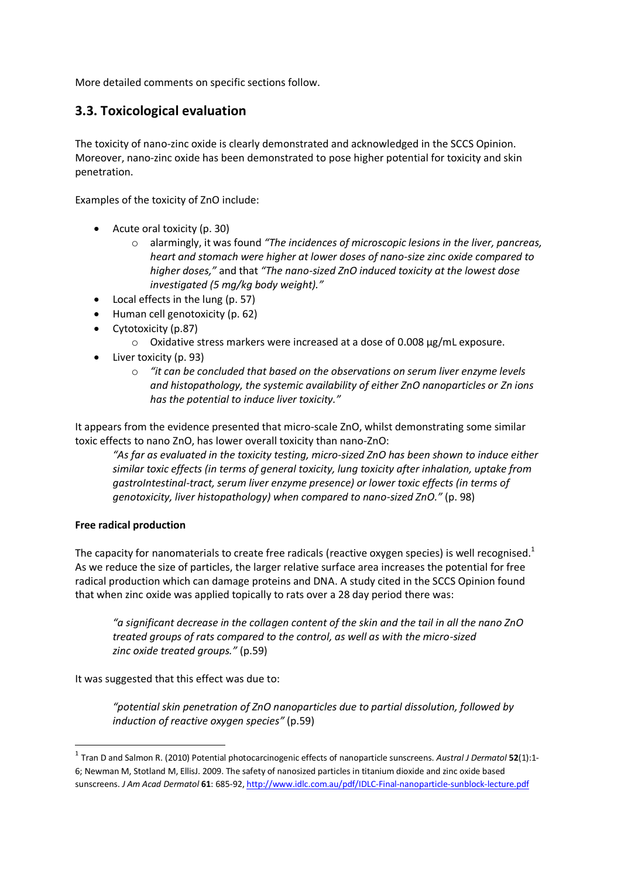More detailed comments on specific sections follow.

# **3.3. Toxicological evaluation**

The toxicity of nano-zinc oxide is clearly demonstrated and acknowledged in the SCCS Opinion. Moreover, nano-zinc oxide has been demonstrated to pose higher potential for toxicity and skin penetration.

Examples of the toxicity of ZnO include:

- Acute oral toxicity (p. 30)
	- o alarmingly, it was found *"The incidences of microscopic lesions in the liver, pancreas, heart and stomach were higher at lower doses of nano-size zinc oxide compared to higher doses,"* and that *"The nano-sized ZnO induced toxicity at the lowest dose investigated (5 mg/kg body weight)."*
- Local effects in the lung (p. 57)
- Human cell genotoxicity (p. 62)
- Cytotoxicity (p.87)
	- o Oxidative stress markers were increased at a dose of 0.008 μg/mL exposure.
- Liver toxicity (p. 93)
	- o *"it can be concluded that based on the observations on serum liver enzyme levels and histopathology, the systemic availability of either ZnO nanoparticles or Zn ions has the potential to induce liver toxicity."*

It appears from the evidence presented that micro-scale ZnO, whilst demonstrating some similar toxic effects to nano ZnO, has lower overall toxicity than nano-ZnO:

*"As far as evaluated in the toxicity testing, micro-sized ZnO has been shown to induce either similar toxic effects (in terms of general toxicity, lung toxicity after inhalation, uptake from gastroIntestinal-tract, serum liver enzyme presence) or lower toxic effects (in terms of genotoxicity, liver histopathology) when compared to nano-sized ZnO."* (p. 98)

#### **Free radical production**

The capacity for nanomaterials to create free radicals (reactive oxygen species) is well recognised.<sup>1</sup> As we reduce the size of particles, the larger relative surface area increases the potential for free radical production which can damage proteins and DNA. A study cited in the SCCS Opinion found that when zinc oxide was applied topically to rats over a 28 day period there was:

*"a significant decrease in the collagen content of the skin and the tail in all the nano ZnO treated groups of rats compared to the control, as well as with the micro-sized zinc oxide treated groups."* (p.59)

It was suggested that this effect was due to:

*"potential skin penetration of ZnO nanoparticles due to partial dissolution, followed by induction of reactive oxygen species"* (p.59)

 <sup>1</sup> Tran D and Salmon R. (2010) Potential photocarcinogenic effects of nanoparticle sunscreens. *Austral J Dermatol* **<sup>52</sup>**(1):1- 6; Newman M, Stotland M, EllisJ. 2009. The safety of nanosized particles in titanium dioxide and zinc oxide based sunscreens. *J Am Acad Dermatol* **61**: 685-92[, http://www.idlc.com.au/pdf/IDLC-Final-nanoparticle-sunblock-lecture.pdf](http://www.idlc.com.au/pdf/IDLC-Final-nanoparticle-sunblock-lecture.pdf)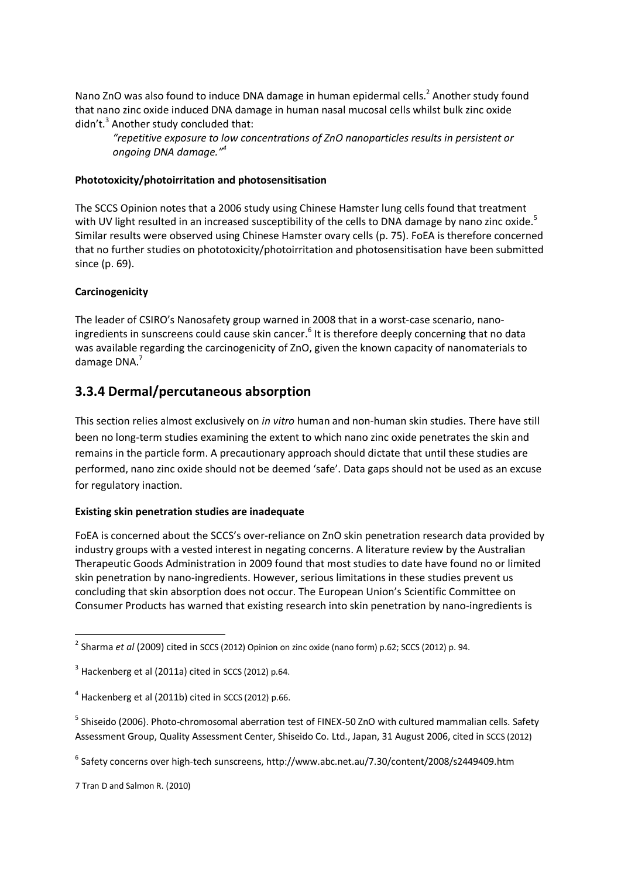Nano ZnO was also found to induce DNA damage in human epidermal cells.<sup>2</sup> Another study found that nano zinc oxide induced DNA damage in human nasal mucosal cells whilst bulk zinc oxide didn't. $3$  Another study concluded that:

*"repetitive exposure to low concentrations of ZnO nanoparticles results in persistent or ongoing DNA damage."<sup>4</sup>*

### **Phototoxicity/photoirritation and photosensitisation**

The SCCS Opinion notes that a 2006 study using Chinese Hamster lung cells found that treatment with UV light resulted in an increased susceptibility of the cells to DNA damage by nano zinc oxide.<sup>5</sup> Similar results were observed using Chinese Hamster ovary cells (p. 75). FoEA is therefore concerned that no further studies on phototoxicity/photoirritation and photosensitisation have been submitted since (p. 69).

### **Carcinogenicity**

The leader of CSIRO's Nanosafety group warned in 2008 that in a worst-case scenario, nanoingredients in sunscreens could cause skin cancer.<sup>6</sup> It is therefore deeply concerning that no data was available regarding the carcinogenicity of ZnO, given the known capacity of nanomaterials to damage DNA.<sup>7</sup>

# **3.3.4 Dermal/percutaneous absorption**

This section relies almost exclusively on *in vitro* human and non-human skin studies. There have still been no long-term studies examining the extent to which nano zinc oxide penetrates the skin and remains in the particle form. A precautionary approach should dictate that until these studies are performed, nano zinc oxide should not be deemed 'safe'. Data gaps should not be used as an excuse for regulatory inaction.

### **Existing skin penetration studies are inadequate**

FoEA is concerned about the SCCS's over-reliance on ZnO skin penetration research data provided by industry groups with a vested interest in negating concerns. A literature review by the Australian Therapeutic Goods Administration in 2009 found that most studies to date have found no or limited skin penetration by nano-ingredients. However, serious limitations in these studies prevent us concluding that skin absorption does not occur. The European Union's Scientific Committee on Consumer Products has warned that existing research into skin penetration by nano-ingredients is

<sup>&</sup>lt;sup>2</sup> Sharma *et al* (2009) cited in SCCS (2012) Opinion on zinc oxide (nano form) p.62; SCCS (2012) p. 94.

 $3$  Hackenberg et al (2011a) cited in SCCS (2012) p.64.

 $4$  Hackenberg et al (2011b) cited in SCCS (2012) p.66.

<sup>&</sup>lt;sup>5</sup> Shiseido (2006). Photo-chromosomal aberration test of FINEX-50 ZnO with cultured mammalian cells. Safety Assessment Group, Quality Assessment Center, Shiseido Co. Ltd., Japan, 31 August 2006, cited in SCCS (2012)

<sup>6</sup> Safety concerns over high-tech sunscreens, http://www.abc.net.au/7.30/content/2008/s2449409.htm

<sup>7</sup> Tran D and Salmon R. (2010)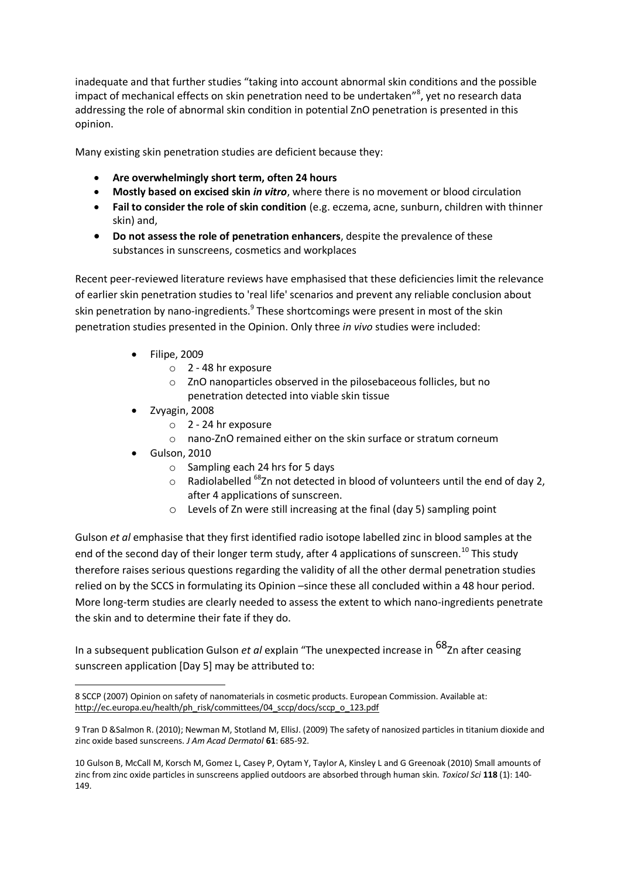inadequate and that further studies "taking into account abnormal skin conditions and the possible impact of mechanical effects on skin penetration need to be undertaken"<sup>8</sup>, yet no research data addressing the role of abnormal skin condition in potential ZnO penetration is presented in this opinion.

Many existing skin penetration studies are deficient because they:

- **Are overwhelmingly short term, often 24 hours**
- **Mostly based on excised skin** *in vitro*, where there is no movement or blood circulation
- **Fail to consider the role of skin condition** (e.g. eczema, acne, sunburn, children with thinner skin) and,
- **Do not assess the role of penetration enhancers**, despite the prevalence of these substances in sunscreens, cosmetics and workplaces

Recent peer-reviewed literature reviews have emphasised that these deficiencies limit the relevance of earlier skin penetration studies to 'real life' scenarios and prevent any reliable conclusion about skin penetration by nano-ingredients.<sup>9</sup> These shortcomings were present in most of the skin penetration studies presented in the Opinion. Only three *in vivo* studies were included:

- Filipe, 2009
	- o 2 48 hr exposure
	- o ZnO nanoparticles observed in the pilosebaceous follicles, but no penetration detected into viable skin tissue
- Zvyagin, 2008
	- o 2 24 hr exposure
	- o nano-ZnO remained either on the skin surface or stratum corneum
- Gulson, 2010
	- o Sampling each 24 hrs for 5 days
	- $\circ$  Radiolabelled <sup>68</sup>Zn not detected in blood of volunteers until the end of day 2, after 4 applications of sunscreen.
	- o Levels of Zn were still increasing at the final (day 5) sampling point

Gulson *et al* emphasise that they first identified radio isotope labelled zinc in blood samples at the end of the second day of their longer term study, after 4 applications of sunscreen.<sup>10</sup> This study therefore raises serious questions regarding the validity of all the other dermal penetration studies relied on by the SCCS in formulating its Opinion –since these all concluded within a 48 hour period. More long-term studies are clearly needed to assess the extent to which nano-ingredients penetrate the skin and to determine their fate if they do.

In a subsequent publication Gulson *et al* explain "The unexpected increase in 68Zn after ceasing sunscreen application [Day 5] may be attributed to:

<sup>-</sup>8 SCCP (2007) Opinion on safety of nanomaterials in cosmetic products. European Commission. Available at: [http://ec.europa.eu/health/ph\\_risk/committees/04\\_sccp/docs/sccp\\_o\\_123.pdf](http://ec.europa.eu/health/ph_risk/committees/04_sccp/docs/sccp_o_123.pdf)

<sup>9</sup> Tran D &Salmon R. (2010); Newman M, Stotland M, EllisJ. (2009) The safety of nanosized particles in titanium dioxide and zinc oxide based sunscreens. *J Am Acad Dermatol* **61**: 685-92.

<sup>10</sup> Gulson B, McCall M, Korsch M, Gomez L, Casey P, Oytam Y, Taylor A, Kinsley L and G Greenoak (2010) Small amounts of zinc from zinc oxide particles in sunscreens applied outdoors are absorbed through human skin. *Toxicol Sci* **118** (1): 140- 149.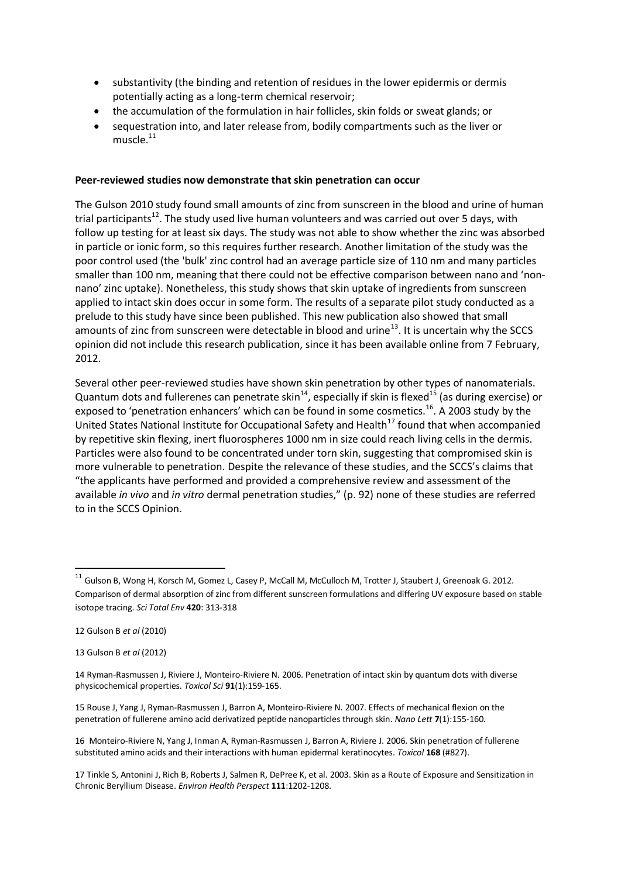- substantivity (the binding and retention of residues in the lower epidermis or dermis potentially acting as a long-term chemical reservoir;
- the accumulation of the formulation in hair follicles, skin folds or sweat glands; or
- sequestration into, and later release from, bodily compartments such as the liver or  $m$ uscle. $^{11}$

### **Peer-reviewed studies now demonstrate that skin penetration can occur**

The Gulson 2010 study found small amounts of zinc from sunscreen in the blood and urine of human trial participants<sup>12</sup>. The study used live human volunteers and was carried out over 5 days, with follow up testing for at least six days. The study was not able to show whether the zinc was absorbed in particle or ionic form, so this requires further research. Another limitation of the study was the poor control used (the 'bulk' zinc control had an average particle size of 110 nm and many particles smaller than 100 nm, meaning that there could not be effective comparison between nano and 'nonnano' zinc uptake). Nonetheless, this study shows that skin uptake of ingredients from sunscreen applied to intact skin does occur in some form. The results of a separate pilot study conducted as a prelude to this study have since been published. This new publication also showed that small amounts of zinc from sunscreen were detectable in blood and urine<sup>13</sup>. It is uncertain why the SCCS opinion did not include this research publication, since it has been available online from 7 February, 2012.

Several other peer-reviewed studies have shown skin penetration by other types of nanomaterials. Quantum dots and fullerenes can penetrate skin<sup>14</sup>, especially if skin is flexed<sup>15</sup> (as during exercise) or exposed to 'penetration enhancers' which can be found in some cosmetics.<sup>16</sup>. A 2003 study by the United States National Institute for Occupational Safety and Health<sup>17</sup> found that when accompanied by repetitive skin flexing, inert fluorospheres 1000 nm in size could reach living cells in the dermis. Particles were also found to be concentrated under torn skin, suggesting that compromised skin is more vulnerable to penetration. Despite the relevance of these studies, and the SCCS's claims that "the applicants have performed and provided a comprehensive review and assessment of the available *in vivo* and *in vitro* dermal penetration studies," (p. 92) none of these studies are referred to in the SCCS Opinion.

<sup>&</sup>lt;sup>11</sup> Gulson B, Wong H, Korsch M, Gomez L, Casey P, McCall M, McCulloch M, Trotter J, Staubert J, Greenoak G. 2012. Comparison of dermal absorption of zinc from different sunscreen formulations and differing UV exposure based on stable isotope tracing. *Sci Total Env* **420**: 313-318

<sup>12</sup> Gulson B *et al* (2010)

<sup>13</sup> Gulson B *et al* (2012)

<sup>14</sup> Ryman-Rasmussen J, Riviere J, Monteiro-Riviere N. 2006. Penetration of intact skin by quantum dots with diverse physicochemical properties. *Toxicol Sci* **91**(1):159-165.

<sup>15</sup> Rouse J, Yang J, Ryman-Rasmussen J, Barron A, Monteiro-Riviere N. 2007. Effects of mechanical flexion on the penetration of fullerene amino acid derivatized peptide nanoparticles through skin*. Nano Lett* **7**(1):155-160.

<sup>16</sup> Monteiro-Riviere N, Yang J, Inman A, Ryman-Rasmussen J, Barron A, Riviere J. 2006. Skin penetration of fullerene substituted amino acids and their interactions with human epidermal keratinocytes. *Toxicol* **168** (#827).

<sup>17</sup> Tinkle S, Antonini J, Rich B, Roberts J, Salmen R, DePree K, et al. 2003. Skin as a Route of Exposure and Sensitization in Chronic Beryllium Disease. *Environ Health Perspect* **111**:1202-1208.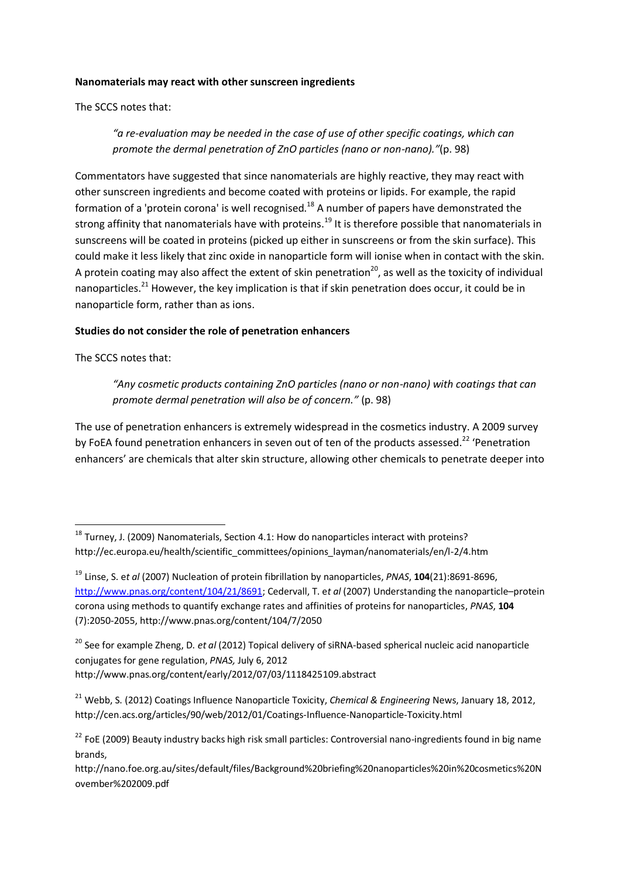### **Nanomaterials may react with other sunscreen ingredients**

The SCCS notes that:

*"a re-evaluation may be needed in the case of use of other specific coatings, which can promote the dermal penetration of ZnO particles (nano or non-nano)."*(p. 98)

Commentators have suggested that since nanomaterials are highly reactive, they may react with other sunscreen ingredients and become coated with proteins or lipids. For example, the rapid formation of a 'protein corona' is well recognised.<sup>18</sup> A number of papers have demonstrated the strong affinity that nanomaterials have with proteins.<sup>19</sup> It is therefore possible that nanomaterials in sunscreens will be coated in proteins (picked up either in sunscreens or from the skin surface). This could make it less likely that zinc oxide in nanoparticle form will ionise when in contact with the skin. A protein coating may also affect the extent of skin penetration<sup>20</sup>, as well as the toxicity of individual nanoparticles.<sup>21</sup> However, the key implication is that if skin penetration does occur, it could be in nanoparticle form, rather than as ions.

### **Studies do not consider the role of penetration enhancers**

The SCCS notes that:

*"Any cosmetic products containing ZnO particles (nano or non-nano) with coatings that can promote dermal penetration will also be of concern."* (p. 98)

The use of penetration enhancers is extremely widespread in the cosmetics industry. A 2009 survey by FoEA found penetration enhancers in seven out of ten of the products assessed.<sup>22</sup> 'Penetration enhancers' are chemicals that alter skin structure, allowing other chemicals to penetrate deeper into

 $18$  Turney, J. (2009) Nanomaterials, Section 4.1: How do nanoparticles interact with proteins? http://ec.europa.eu/health/scientific\_committees/opinions\_layman/nanomaterials/en/l-2/4.htm

<sup>19</sup> Linse, S. e*t al* (2007) Nucleation of protein fibrillation by nanoparticles, *PNAS*, **104**(21):8691-8696, [http://www.pnas.org/content/104/21/8691;](http://www.pnas.org/content/104/21/8691) Cedervall, T. e*t al* (2007) Understanding the nanoparticle–protein corona using methods to quantify exchange rates and affinities of proteins for nanoparticles, *PNAS*, **104** (7):2050-2055, http://www.pnas.org/content/104/7/2050

<sup>20</sup> See for example Zheng, D. *et al* (2012) Topical delivery of siRNA-based spherical nucleic acid nanoparticle conjugates for gene regulation, *PNAS,* July 6, 2012 http://www.pnas.org/content/early/2012/07/03/1118425109.abstract

<sup>21</sup> Webb, S. (2012) Coatings Influence Nanoparticle Toxicity, *Chemical & Engineering* News, January 18, 2012, http://cen.acs.org/articles/90/web/2012/01/Coatings-Influence-Nanoparticle-Toxicity.html

<sup>&</sup>lt;sup>22</sup> FoE (2009) Beauty industry backs high risk small particles: Controversial nano-ingredients found in big name brands,

http://nano.foe.org.au/sites/default/files/Background%20briefing%20nanoparticles%20in%20cosmetics%20N ovember%202009.pdf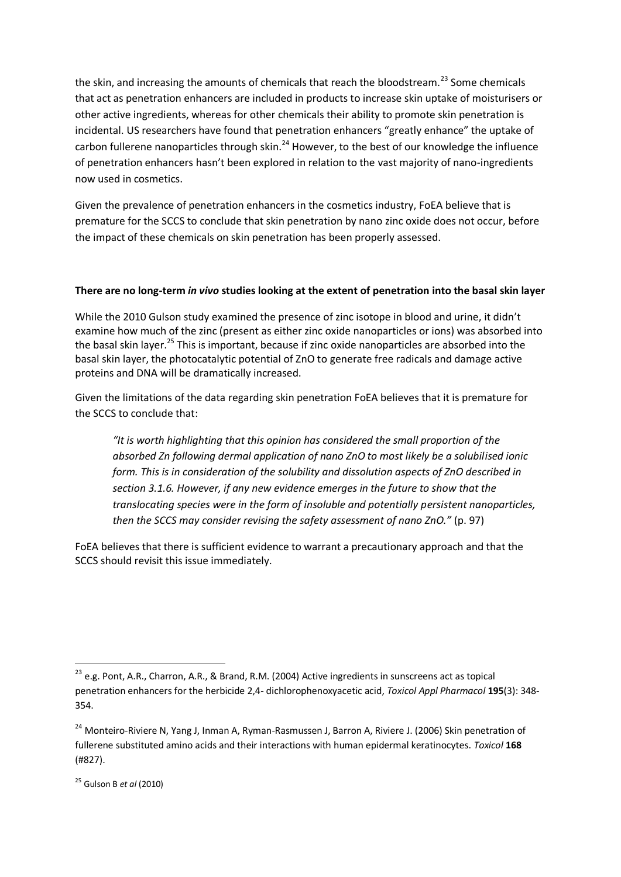the skin, and increasing the amounts of chemicals that reach the bloodstream.<sup>23</sup> Some chemicals that act as penetration enhancers are included in products to increase skin uptake of moisturisers or other active ingredients, whereas for other chemicals their ability to promote skin penetration is incidental. US researchers have found that penetration enhancers "greatly enhance" the uptake of carbon fullerene nanoparticles through skin.<sup>24</sup> However, to the best of our knowledge the influence of penetration enhancers hasn't been explored in relation to the vast majority of nano-ingredients now used in cosmetics.

Given the prevalence of penetration enhancers in the cosmetics industry, FoEA believe that is premature for the SCCS to conclude that skin penetration by nano zinc oxide does not occur, before the impact of these chemicals on skin penetration has been properly assessed.

### **There are no long-term** *in vivo* **studies looking at the extent of penetration into the basal skin layer**

While the 2010 Gulson study examined the presence of zinc isotope in blood and urine, it didn't examine how much of the zinc (present as either zinc oxide nanoparticles or ions) was absorbed into the basal skin layer.<sup>25</sup> This is important, because if zinc oxide nanoparticles are absorbed into the basal skin layer, the photocatalytic potential of ZnO to generate free radicals and damage active proteins and DNA will be dramatically increased.

Given the limitations of the data regarding skin penetration FoEA believes that it is premature for the SCCS to conclude that:

*"It is worth highlighting that this opinion has considered the small proportion of the absorbed Zn following dermal application of nano ZnO to most likely be a solubilised ionic form. This is in consideration of the solubility and dissolution aspects of ZnO described in section 3.1.6. However, if any new evidence emerges in the future to show that the translocating species were in the form of insoluble and potentially persistent nanoparticles, then the SCCS may consider revising the safety assessment of nano ZnO."* (p. 97)

FoEA believes that there is sufficient evidence to warrant a precautionary approach and that the SCCS should revisit this issue immediately.

<sup>&</sup>lt;sup>23</sup> e.g. Pont, A.R., Charron, A.R., & Brand, R.M. (2004) Active ingredients in sunscreens act as topical penetration enhancers for the herbicide 2,4- dichlorophenoxyacetic acid, *Toxicol Appl Pharmacol* **195**(3): 348- 354.

<sup>&</sup>lt;sup>24</sup> Monteiro-Riviere N, Yang J, Inman A, Ryman-Rasmussen J, Barron A, Riviere J. (2006) Skin penetration of fullerene substituted amino acids and their interactions with human epidermal keratinocytes. *Toxicol* **168**  (#827).

<sup>25</sup> Gulson B *et al* (2010)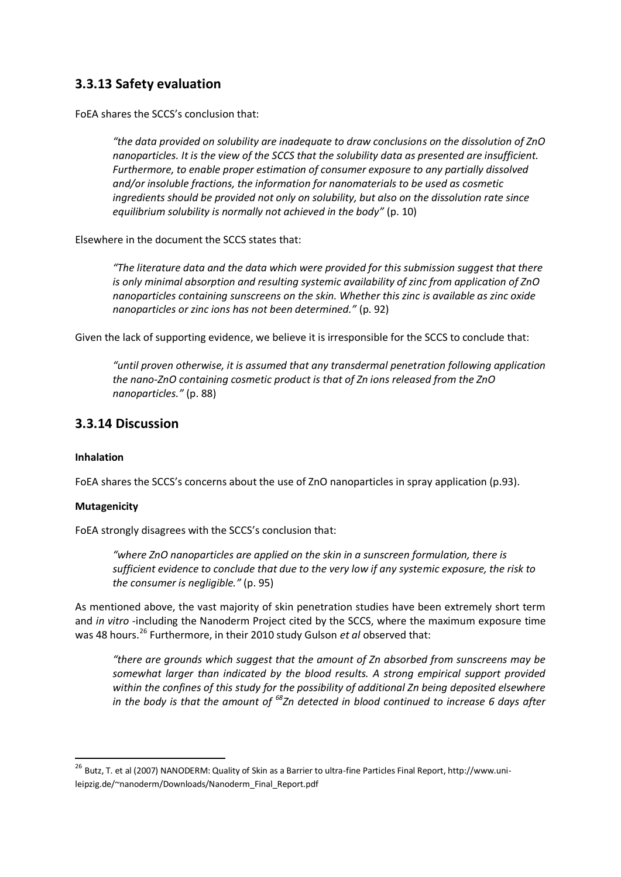# **3.3.13 Safety evaluation**

FoEA shares the SCCS's conclusion that:

*"the data provided on solubility are inadequate to draw conclusions on the dissolution of ZnO nanoparticles. It is the view of the SCCS that the solubility data as presented are insufficient. Furthermore, to enable proper estimation of consumer exposure to any partially dissolved and/or insoluble fractions, the information for nanomaterials to be used as cosmetic ingredients should be provided not only on solubility, but also on the dissolution rate since equilibrium solubility is normally not achieved in the body"* (p. 10)

Elsewhere in the document the SCCS states that:

*"The literature data and the data which were provided for this submission suggest that there is only minimal absorption and resulting systemic availability of zinc from application of ZnO nanoparticles containing sunscreens on the skin. Whether this zinc is available as zinc oxide nanoparticles or zinc ions has not been determined."* (p. 92)

Given the lack of supporting evidence, we believe it is irresponsible for the SCCS to conclude that:

*"until proven otherwise, it is assumed that any transdermal penetration following application the nano-ZnO containing cosmetic product is that of Zn ions released from the ZnO nanoparticles."* (p. 88)

# **3.3.14 Discussion**

### **Inhalation**

FoEA shares the SCCS's concerns about the use of ZnO nanoparticles in spray application (p.93).

### **Mutagenicity**

FoEA strongly disagrees with the SCCS's conclusion that:

*"where ZnO nanoparticles are applied on the skin in a sunscreen formulation, there is sufficient evidence to conclude that due to the very low if any systemic exposure, the risk to the consumer is negligible."* (p. 95)

As mentioned above, the vast majority of skin penetration studies have been extremely short term and *in vitro* -including the Nanoderm Project cited by the SCCS, where the maximum exposure time was 48 hours.<sup>26</sup> Furthermore, in their 2010 study Gulson *et al* observed that:

*"there are grounds which suggest that the amount of Zn absorbed from sunscreens may be somewhat larger than indicated by the blood results. A strong empirical support provided within the confines of this study for the possibility of additional Zn being deposited elsewhere in the body is that the amount of 68Zn detected in blood continued to increase 6 days after* 

<sup>&</sup>lt;sup>26</sup> Butz, T. et al (2007) NANODERM: Quality of Skin as a Barrier to ultra-fine Particles Final Report, http://www.unileipzig.de/~nanoderm/Downloads/Nanoderm\_Final\_Report.pdf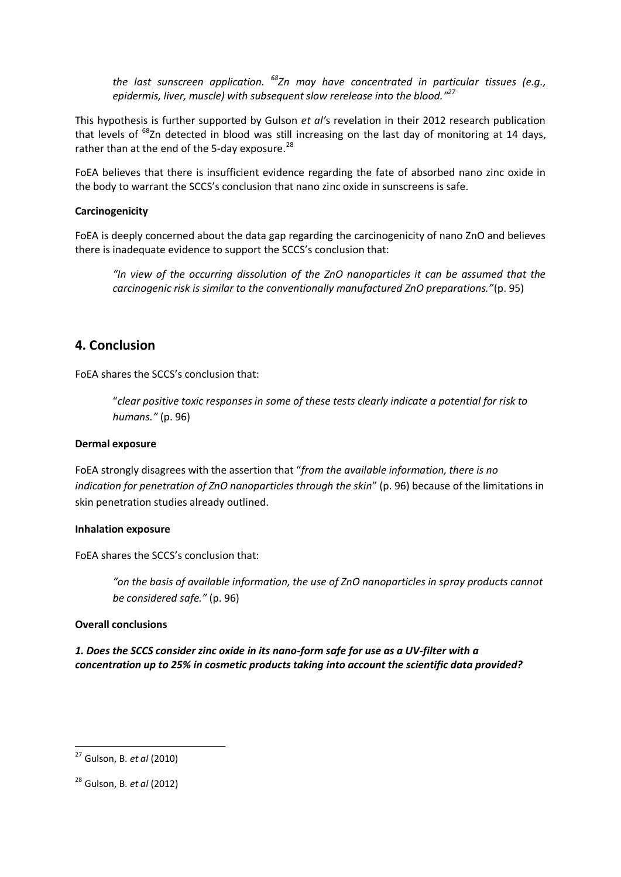*the last sunscreen application. 68Zn may have concentrated in particular tissues (e.g., epidermis, liver, muscle) with subsequent slow rerelease into the blood." 27*

This hypothesis is further supported by Gulson *et al'*s revelation in their 2012 research publication that levels of <sup>68</sup>Zn detected in blood was still increasing on the last day of monitoring at 14 days, rather than at the end of the 5-day exposure.<sup>28</sup>

FoEA believes that there is insufficient evidence regarding the fate of absorbed nano zinc oxide in the body to warrant the SCCS's conclusion that nano zinc oxide in sunscreens is safe.

### **Carcinogenicity**

FoEA is deeply concerned about the data gap regarding the carcinogenicity of nano ZnO and believes there is inadequate evidence to support the SCCS's conclusion that:

*"In view of the occurring dissolution of the ZnO nanoparticles it can be assumed that the carcinogenic risk is similar to the conventionally manufactured ZnO preparations."*(p. 95)

# **4. Conclusion**

FoEA shares the SCCS's conclusion that:

"*clear positive toxic responses in some of these tests clearly indicate a potential for risk to humans."* (p. 96)

### **Dermal exposure**

FoEA strongly disagrees with the assertion that "*from the available information, there is no indication for penetration of ZnO nanoparticles through the skin*" (p. 96) because of the limitations in skin penetration studies already outlined.

#### **Inhalation exposure**

FoEA shares the SCCS's conclusion that:

*"on the basis of available information, the use of ZnO nanoparticles in spray products cannot be considered safe."* (p. 96)

### **Overall conclusions**

*1. Does the SCCS consider zinc oxide in its nano-form safe for use as a UV-filter with a concentration up to 25% in cosmetic products taking into account the scientific data provided?*

 <sup>27</sup> Gulson, B. *et al* (2010)

<sup>28</sup> Gulson, B. *et al* (2012)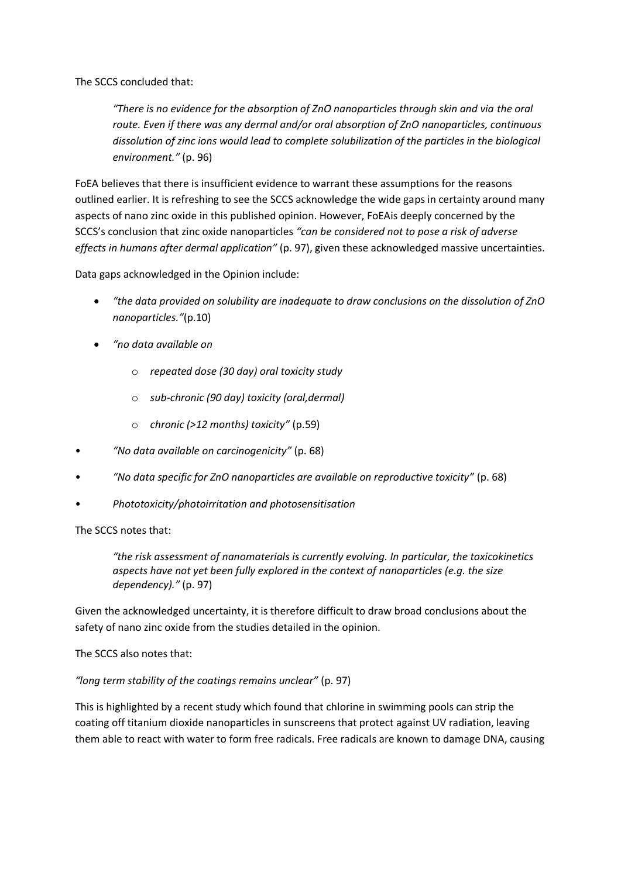The SCCS concluded that:

*"There is no evidence for the absorption of ZnO nanoparticles through skin and via the oral route. Even if there was any dermal and/or oral absorption of ZnO nanoparticles, continuous dissolution of zinc ions would lead to complete solubilization of the particles in the biological environment."* (p. 96)

FoEA believes that there is insufficient evidence to warrant these assumptions for the reasons outlined earlier. It is refreshing to see the SCCS acknowledge the wide gaps in certainty around many aspects of nano zinc oxide in this published opinion. However, FoEAis deeply concerned by the SCCS's conclusion that zinc oxide nanoparticles *"can be considered not to pose a risk of adverse effects in humans after dermal application"* (p. 97), given these acknowledged massive uncertainties.

Data gaps acknowledged in the Opinion include:

- *"the data provided on solubility are inadequate to draw conclusions on the dissolution of ZnO nanoparticles."*(p.10)
- *"no data available on* 
	- o *repeated dose (30 day) oral toxicity study*
	- o *sub-chronic (90 day) toxicity (oral,dermal)*
	- o *chronic (>12 months) toxicity"* (p.59)
- *"No data available on carcinogenicity"* (p. 68)
- *"No data specific for ZnO nanoparticles are available on reproductive toxicity"* (p. 68)
- *Phototoxicity/photoirritation and photosensitisation*

The SCCS notes that:

*"the risk assessment of nanomaterials is currently evolving. In particular, the toxicokinetics aspects have not yet been fully explored in the context of nanoparticles (e.g. the size dependency)."* (p. 97)

Given the acknowledged uncertainty, it is therefore difficult to draw broad conclusions about the safety of nano zinc oxide from the studies detailed in the opinion.

The SCCS also notes that:

#### *"long term stability of the coatings remains unclear"* (p. 97)

This is highlighted by a recent study which found that chlorine in swimming pools can strip the coating off titanium dioxide nanoparticles in sunscreens that protect against UV radiation, leaving them able to react with water to form free radicals. Free radicals are known to damage DNA, causing